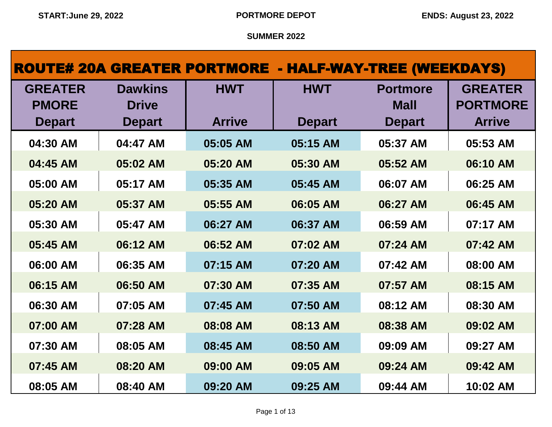|                |                |               |               | <b>ROUTE# 20A GREATER PORTMORE - HALF-WAY-TREE (WEEKDAYS)</b> |                 |
|----------------|----------------|---------------|---------------|---------------------------------------------------------------|-----------------|
| <b>GREATER</b> | <b>Dawkins</b> | <b>HWT</b>    | <b>HWT</b>    | <b>Portmore</b>                                               | <b>GREATER</b>  |
| <b>PMORE</b>   | <b>Drive</b>   |               |               | <b>Mall</b>                                                   | <b>PORTMORE</b> |
| <b>Depart</b>  | <b>Depart</b>  | <b>Arrive</b> | <b>Depart</b> | <b>Depart</b>                                                 | <b>Arrive</b>   |
| 04:30 AM       | 04:47 AM       | 05:05 AM      | 05:15 AM      | 05:37 AM                                                      | 05:53 AM        |
| 04:45 AM       | 05:02 AM       | 05:20 AM      | 05:30 AM      | 05:52 AM                                                      | 06:10 AM        |
| 05:00 AM       | 05:17 AM       | 05:35 AM      | 05:45 AM      | 06:07 AM                                                      | 06:25 AM        |
| 05:20 AM       | 05:37 AM       | 05:55 AM      | 06:05 AM      | 06:27 AM                                                      | 06:45 AM        |
| 05:30 AM       | 05:47 AM       | 06:27 AM      | 06:37 AM      | 06:59 AM                                                      | 07:17 AM        |
| 05:45 AM       | 06:12 AM       | 06:52 AM      | 07:02 AM      | 07:24 AM                                                      | 07:42 AM        |
| 06:00 AM       | 06:35 AM       | 07:15 AM      | 07:20 AM      | 07:42 AM                                                      | 08:00 AM        |
| 06:15 AM       | 06:50 AM       | 07:30 AM      | 07:35 AM      | 07:57 AM                                                      | 08:15 AM        |
| 06:30 AM       | 07:05 AM       | 07:45 AM      | 07:50 AM      | 08:12 AM                                                      | 08:30 AM        |
| 07:00 AM       | 07:28 AM       | 08:08 AM      | 08:13 AM      | 08:38 AM                                                      | 09:02 AM        |
| 07:30 AM       | 08:05 AM       | 08:45 AM      | 08:50 AM      | 09:09 AM                                                      | 09:27 AM        |
| 07:45 AM       | 08:20 AM       | 09:00 AM      | 09:05 AM      | 09:24 AM                                                      | 09:42 AM        |
| 08:05 AM       | 08:40 AM       | 09:20 AM      | 09:25 AM      | 09:44 AM                                                      | 10:02 AM        |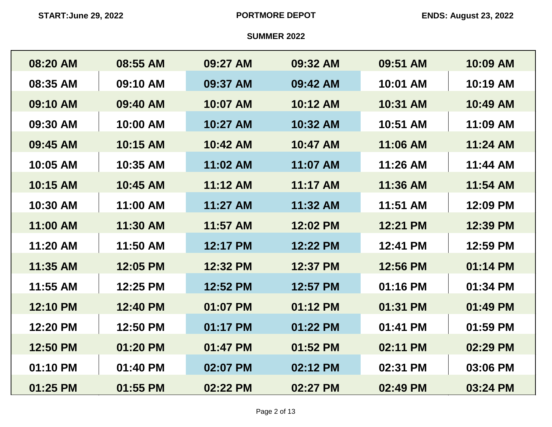| 08:20 AM | 08:55 AM | 09:27 AM | 09:32 AM | 09:51 AM | 10:09 AM |
|----------|----------|----------|----------|----------|----------|
| 08:35 AM | 09:10 AM | 09:37 AM | 09:42 AM | 10:01 AM | 10:19 AM |
| 09:10 AM | 09:40 AM | 10:07 AM | 10:12 AM | 10:31 AM | 10:49 AM |
| 09:30 AM | 10:00 AM | 10:27 AM | 10:32 AM | 10:51 AM | 11:09 AM |
| 09:45 AM | 10:15 AM | 10:42 AM | 10:47 AM | 11:06 AM | 11:24 AM |
| 10:05 AM | 10:35 AM | 11:02 AM | 11:07 AM | 11:26 AM | 11:44 AM |
| 10:15 AM | 10:45 AM | 11:12 AM | 11:17 AM | 11:36 AM | 11:54 AM |
| 10:30 AM | 11:00 AM | 11:27 AM | 11:32 AM | 11:51 AM | 12:09 PM |
| 11:00 AM | 11:30 AM | 11:57 AM | 12:02 PM | 12:21 PM | 12:39 PM |
| 11:20 AM | 11:50 AM | 12:17 PM | 12:22 PM | 12:41 PM | 12:59 PM |
| 11:35 AM | 12:05 PM | 12:32 PM | 12:37 PM | 12:56 PM | 01:14 PM |
| 11:55 AM | 12:25 PM | 12:52 PM | 12:57 PM | 01:16 PM | 01:34 PM |
| 12:10 PM | 12:40 PM | 01:07 PM | 01:12 PM | 01:31 PM | 01:49 PM |
| 12:20 PM | 12:50 PM | 01:17 PM | 01:22 PM | 01:41 PM | 01:59 PM |
| 12:50 PM | 01:20 PM | 01:47 PM | 01:52 PM | 02:11 PM | 02:29 PM |
| 01:10 PM | 01:40 PM | 02:07 PM | 02:12 PM | 02:31 PM | 03:06 PM |
| 01:25 PM | 01:55 PM | 02:22 PM | 02:27 PM | 02:49 PM | 03:24 PM |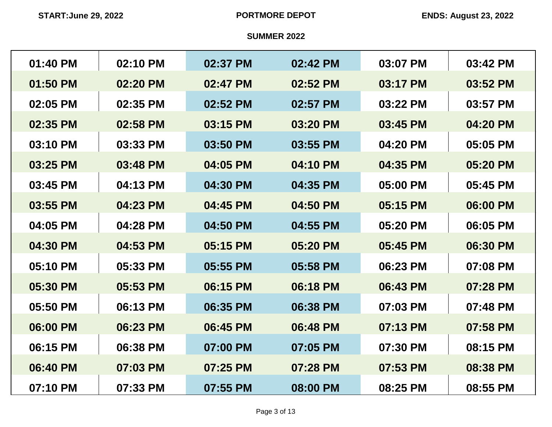| 01:40 PM | 02:10 PM | 02:37 PM | 02:42 PM | 03:07 PM | 03:42 PM |
|----------|----------|----------|----------|----------|----------|
| 01:50 PM | 02:20 PM | 02:47 PM | 02:52 PM | 03:17 PM | 03:52 PM |
| 02:05 PM | 02:35 PM | 02:52 PM | 02:57 PM | 03:22 PM | 03:57 PM |
| 02:35 PM | 02:58 PM | 03:15 PM | 03:20 PM | 03:45 PM | 04:20 PM |
| 03:10 PM | 03:33 PM | 03:50 PM | 03:55 PM | 04:20 PM | 05:05 PM |
| 03:25 PM | 03:48 PM | 04:05 PM | 04:10 PM | 04:35 PM | 05:20 PM |
| 03:45 PM | 04:13 PM | 04:30 PM | 04:35 PM | 05:00 PM | 05:45 PM |
| 03:55 PM | 04:23 PM | 04:45 PM | 04:50 PM | 05:15 PM | 06:00 PM |
| 04:05 PM | 04:28 PM | 04:50 PM | 04:55 PM | 05:20 PM | 06:05 PM |
| 04:30 PM | 04:53 PM | 05:15 PM | 05:20 PM | 05:45 PM | 06:30 PM |
| 05:10 PM | 05:33 PM | 05:55 PM | 05:58 PM | 06:23 PM | 07:08 PM |
| 05:30 PM | 05:53 PM | 06:15 PM | 06:18 PM | 06:43 PM | 07:28 PM |
| 05:50 PM | 06:13 PM | 06:35 PM | 06:38 PM | 07:03 PM | 07:48 PM |
| 06:00 PM | 06:23 PM | 06:45 PM | 06:48 PM | 07:13 PM | 07:58 PM |
| 06:15 PM | 06:38 PM | 07:00 PM | 07:05 PM | 07:30 PM | 08:15 PM |
| 06:40 PM | 07:03 PM | 07:25 PM | 07:28 PM | 07:53 PM | 08:38 PM |
| 07:10 PM | 07:33 PM | 07:55 PM | 08:00 PM | 08:25 PM | 08:55 PM |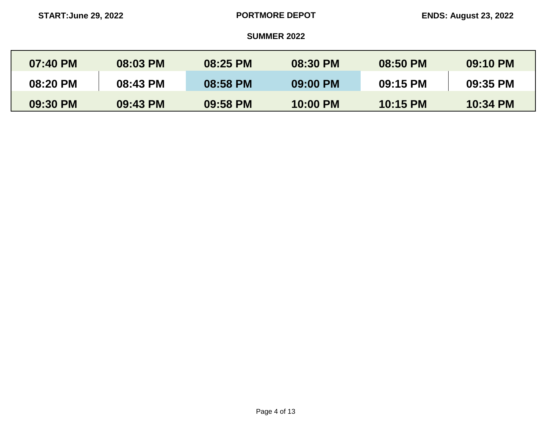| $07:40$ PM | 08:03 PM | 08:25 PM | 08:30 PM | 08:50 PM | 09:10 PM |
|------------|----------|----------|----------|----------|----------|
| 08:20 PM   | 08:43 PM | 08:58 PM | 09:00 PM | 09:15 PM | 09:35 PM |
| 09:30 PM   | 09:43 PM | 09:58 PM | 10:00 PM | 10:15 PM | 10:34 PM |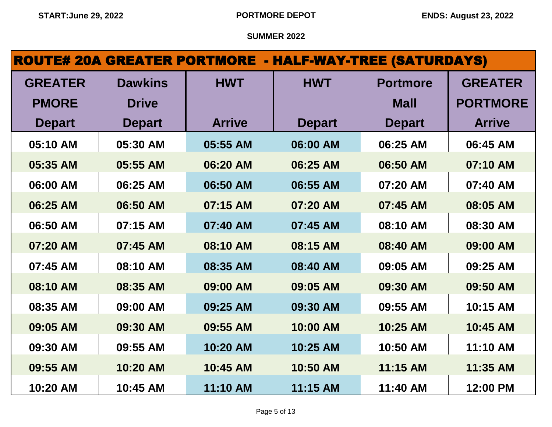# ROUTE# 20A GREATER PORTMORE - HALF-WAY-TREE (SATURDAYS)

| <b>GREATER</b> | <b>Dawkins</b> | <b>HWT</b>    | <b>HWT</b>    | <b>Portmore</b> | <b>GREATER</b>  |
|----------------|----------------|---------------|---------------|-----------------|-----------------|
| <b>PMORE</b>   | <b>Drive</b>   |               |               | <b>Mall</b>     | <b>PORTMORE</b> |
| <b>Depart</b>  | <b>Depart</b>  | <b>Arrive</b> | <b>Depart</b> | <b>Depart</b>   | <b>Arrive</b>   |
| 05:10 AM       | 05:30 AM       | 05:55 AM      | 06:00 AM      | 06:25 AM        | 06:45 AM        |
| 05:35 AM       | 05:55 AM       | 06:20 AM      | 06:25 AM      | 06:50 AM        | 07:10 AM        |
| 06:00 AM       | 06:25 AM       | 06:50 AM      | 06:55 AM      | 07:20 AM        | 07:40 AM        |
| 06:25 AM       | 06:50 AM       | 07:15 AM      | 07:20 AM      | 07:45 AM        | 08:05 AM        |
| 06:50 AM       | 07:15 AM       | 07:40 AM      | 07:45 AM      | 08:10 AM        | 08:30 AM        |
| 07:20 AM       | 07:45 AM       | 08:10 AM      | 08:15 AM      | 08:40 AM        | 09:00 AM        |
| 07:45 AM       | 08:10 AM       | 08:35 AM      | 08:40 AM      | 09:05 AM        | 09:25 AM        |
| 08:10 AM       | 08:35 AM       | 09:00 AM      | 09:05 AM      | 09:30 AM        | 09:50 AM        |
| 08:35 AM       | 09:00 AM       | 09:25 AM      | 09:30 AM      | 09:55 AM        | 10:15 AM        |
| 09:05 AM       | 09:30 AM       | 09:55 AM      | 10:00 AM      | 10:25 AM        | 10:45 AM        |
| 09:30 AM       | 09:55 AM       | 10:20 AM      | 10:25 AM      | 10:50 AM        | 11:10 AM        |
| 09:55 AM       | 10:20 AM       | 10:45 AM      | 10:50 AM      | 11:15 AM        | 11:35 AM        |
| 10:20 AM       | 10:45 AM       | 11:10 AM      | 11:15 AM      | 11:40 AM        | 12:00 PM        |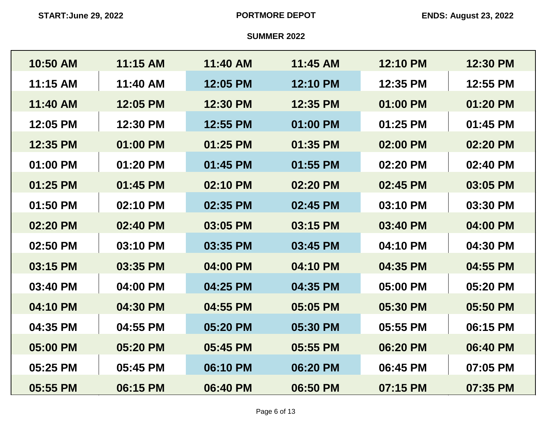| 10:50 AM | 11:15 AM | 11:40 AM | 11:45 AM | 12:10 PM | 12:30 PM |
|----------|----------|----------|----------|----------|----------|
| 11:15 AM | 11:40 AM | 12:05 PM | 12:10 PM | 12:35 PM | 12:55 PM |
| 11:40 AM | 12:05 PM | 12:30 PM | 12:35 PM | 01:00 PM | 01:20 PM |
| 12:05 PM | 12:30 PM | 12:55 PM | 01:00 PM | 01:25 PM | 01:45 PM |
| 12:35 PM | 01:00 PM | 01:25 PM | 01:35 PM | 02:00 PM | 02:20 PM |
| 01:00 PM | 01:20 PM | 01:45 PM | 01:55 PM | 02:20 PM | 02:40 PM |
| 01:25 PM | 01:45 PM | 02:10 PM | 02:20 PM | 02:45 PM | 03:05 PM |
| 01:50 PM | 02:10 PM | 02:35 PM | 02:45 PM | 03:10 PM | 03:30 PM |
| 02:20 PM | 02:40 PM | 03:05 PM | 03:15 PM | 03:40 PM | 04:00 PM |
| 02:50 PM | 03:10 PM | 03:35 PM | 03:45 PM | 04:10 PM | 04:30 PM |
| 03:15 PM | 03:35 PM | 04:00 PM | 04:10 PM | 04:35 PM | 04:55 PM |
| 03:40 PM | 04:00 PM | 04:25 PM | 04:35 PM | 05:00 PM | 05:20 PM |
| 04:10 PM | 04:30 PM | 04:55 PM | 05:05 PM | 05:30 PM | 05:50 PM |
| 04:35 PM | 04:55 PM | 05:20 PM | 05:30 PM | 05:55 PM | 06:15 PM |
| 05:00 PM | 05:20 PM | 05:45 PM | 05:55 PM | 06:20 PM | 06:40 PM |
| 05:25 PM | 05:45 PM | 06:10 PM | 06:20 PM | 06:45 PM | 07:05 PM |
| 05:55 PM | 06:15 PM | 06:40 PM | 06:50 PM | 07:15 PM | 07:35 PM |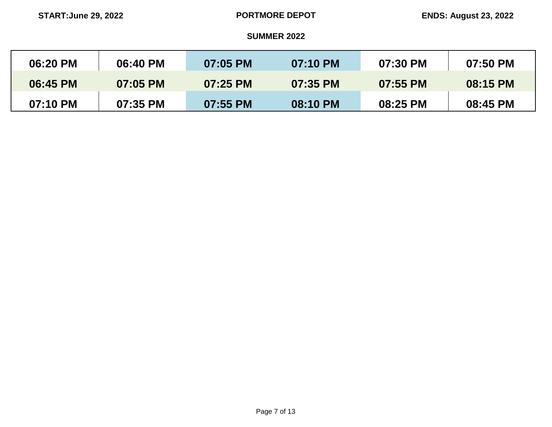| 06:20 PM | 06:40 PM | 07:05 PM | 07:10 PM | 07:30 PM | 07:50 PM |
|----------|----------|----------|----------|----------|----------|
| 06:45 PM | 07:05 PM | 07:25 PM | 07:35 PM | 07:55 PM | 08:15 PM |
| 07:10 PM | 07:35 PM | 07:55 PM | 08:10 PM | 08:25 PM | 08:45 PM |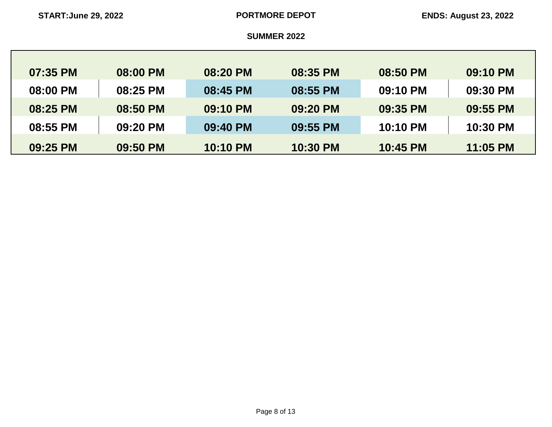| 07:35 PM | 08:00 PM | 08:20 PM        | 08:35 PM | 08:50 PM | 09:10 PM |
|----------|----------|-----------------|----------|----------|----------|
| 08:00 PM | 08:25 PM | 08:45 PM        | 08:55 PM | 09:10 PM | 09:30 PM |
| 08:25 PM | 08:50 PM | 09:10 PM        | 09:20 PM | 09:35 PM | 09:55 PM |
| 08:55 PM | 09:20 PM | 09:40 PM        | 09:55 PM | 10:10 PM | 10:30 PM |
| 09:25 PM | 09:50 PM | <b>10:10 PM</b> | 10:30 PM | 10:45 PM | 11:05 PM |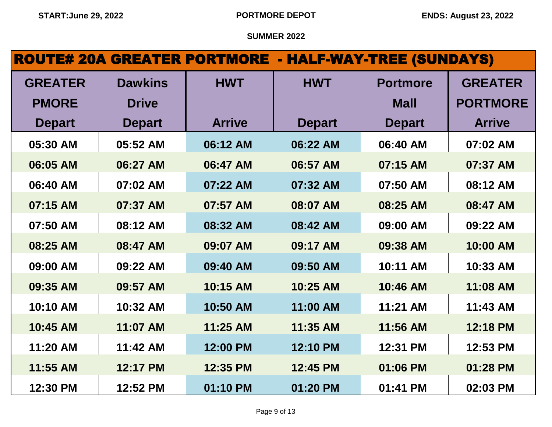# ROUTE# 20A GREATER PORTMORE - HALF-WAY-TREE (SUNDAYS)

| <b>GREATER</b> | <b>Dawkins</b> | <b>HWT</b>    | <b>HWT</b>    | <b>Portmore</b> | <b>GREATER</b>  |
|----------------|----------------|---------------|---------------|-----------------|-----------------|
| <b>PMORE</b>   | <b>Drive</b>   |               |               | <b>Mall</b>     | <b>PORTMORE</b> |
| <b>Depart</b>  | <b>Depart</b>  | <b>Arrive</b> | <b>Depart</b> | <b>Depart</b>   | <b>Arrive</b>   |
| 05:30 AM       | 05:52 AM       | 06:12 AM      | 06:22 AM      | 06:40 AM        | 07:02 AM        |
| 06:05 AM       | 06:27 AM       | 06:47 AM      | 06:57 AM      | 07:15 AM        | 07:37 AM        |
| 06:40 AM       | 07:02 AM       | 07:22 AM      | 07:32 AM      | 07:50 AM        | 08:12 AM        |
| 07:15 AM       | 07:37 AM       | 07:57 AM      | 08:07 AM      | 08:25 AM        | 08:47 AM        |
| 07:50 AM       | 08:12 AM       | 08:32 AM      | 08:42 AM      | 09:00 AM        | 09:22 AM        |
| 08:25 AM       | 08:47 AM       | 09:07 AM      | 09:17 AM      | 09:38 AM        | 10:00 AM        |
| 09:00 AM       | 09:22 AM       | 09:40 AM      | 09:50 AM      | 10:11 AM        | 10:33 AM        |
| 09:35 AM       | 09:57 AM       | 10:15 AM      | 10:25 AM      | 10:46 AM        | 11:08 AM        |
| 10:10 AM       | 10:32 AM       | 10:50 AM      | 11:00 AM      | 11:21 AM        | 11:43 AM        |
| 10:45 AM       | 11:07 AM       | 11:25 AM      | 11:35 AM      | 11:56 AM        | 12:18 PM        |
| 11:20 AM       | 11:42 AM       | 12:00 PM      | 12:10 PM      | 12:31 PM        | 12:53 PM        |
| 11:55 AM       | 12:17 PM       | 12:35 PM      | 12:45 PM      | 01:06 PM        | 01:28 PM        |
| 12:30 PM       | 12:52 PM       | 01:10 PM      | 01:20 PM      | 01:41 PM        | 02:03 PM        |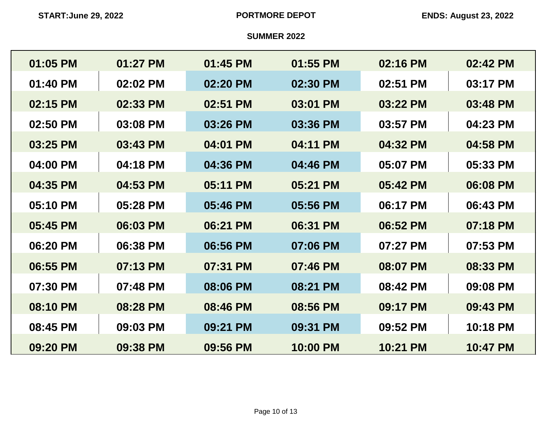| 01:05 PM | 01:27 PM | 01:45 PM | 01:55 PM | 02:16 PM | 02:42 PM |
|----------|----------|----------|----------|----------|----------|
| 01:40 PM | 02:02 PM | 02:20 PM | 02:30 PM | 02:51 PM | 03:17 PM |
| 02:15 PM | 02:33 PM | 02:51 PM | 03:01 PM | 03:22 PM | 03:48 PM |
| 02:50 PM | 03:08 PM | 03:26 PM | 03:36 PM | 03:57 PM | 04:23 PM |
| 03:25 PM | 03:43 PM | 04:01 PM | 04:11 PM | 04:32 PM | 04:58 PM |
| 04:00 PM | 04:18 PM | 04:36 PM | 04:46 PM | 05:07 PM | 05:33 PM |
| 04:35 PM | 04:53 PM | 05:11 PM | 05:21 PM | 05:42 PM | 06:08 PM |
| 05:10 PM | 05:28 PM | 05:46 PM | 05:56 PM | 06:17 PM | 06:43 PM |
| 05:45 PM | 06:03 PM | 06:21 PM | 06:31 PM | 06:52 PM | 07:18 PM |
| 06:20 PM | 06:38 PM | 06:56 PM | 07:06 PM | 07:27 PM | 07:53 PM |
| 06:55 PM | 07:13 PM | 07:31 PM | 07:46 PM | 08:07 PM | 08:33 PM |
| 07:30 PM | 07:48 PM | 08:06 PM | 08:21 PM | 08:42 PM | 09:08 PM |
| 08:10 PM | 08:28 PM | 08:46 PM | 08:56 PM | 09:17 PM | 09:43 PM |
| 08:45 PM | 09:03 PM | 09:21 PM | 09:31 PM | 09:52 PM | 10:18 PM |
| 09:20 PM | 09:38 PM | 09:56 PM | 10:00 PM | 10:21 PM | 10:47 PM |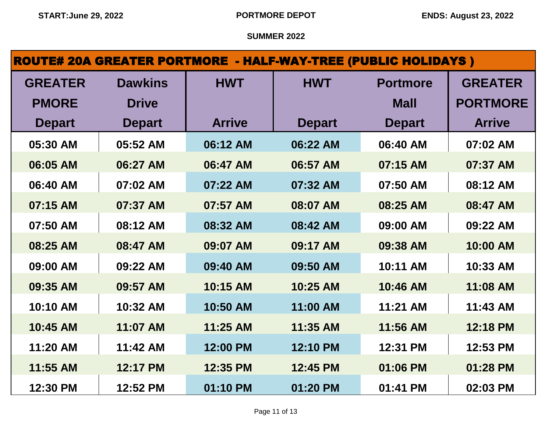| <b>ROUTE# 20A GREATER PORTMORE - HALF-WAY-TREE (PUBLIC HOLIDAYS)</b> |                |               |               |                 |                 |  |  |  |
|----------------------------------------------------------------------|----------------|---------------|---------------|-----------------|-----------------|--|--|--|
| <b>GREATER</b>                                                       | <b>Dawkins</b> | <b>HWT</b>    | <b>HWT</b>    | <b>Portmore</b> | <b>GREATER</b>  |  |  |  |
| <b>PMORE</b>                                                         | <b>Drive</b>   |               |               | <b>Mall</b>     | <b>PORTMORE</b> |  |  |  |
| <b>Depart</b>                                                        | <b>Depart</b>  | <b>Arrive</b> | <b>Depart</b> | <b>Depart</b>   | <b>Arrive</b>   |  |  |  |
| 05:30 AM                                                             | 05:52 AM       | 06:12 AM      | 06:22 AM      | 06:40 AM        | 07:02 AM        |  |  |  |
| 06:05 AM                                                             | 06:27 AM       | 06:47 AM      | 06:57 AM      | 07:15 AM        | 07:37 AM        |  |  |  |
| 06:40 AM                                                             | 07:02 AM       | 07:22 AM      | 07:32 AM      | 07:50 AM        | 08:12 AM        |  |  |  |
| 07:15 AM                                                             | 07:37 AM       | 07:57 AM      | 08:07 AM      | 08:25 AM        | 08:47 AM        |  |  |  |
| 07:50 AM                                                             | 08:12 AM       | 08:32 AM      | 08:42 AM      | 09:00 AM        | 09:22 AM        |  |  |  |
| 08:25 AM                                                             | 08:47 AM       | 09:07 AM      | 09:17 AM      | 09:38 AM        | 10:00 AM        |  |  |  |
| 09:00 AM                                                             | 09:22 AM       | 09:40 AM      | 09:50 AM      | 10:11 AM        | 10:33 AM        |  |  |  |
| 09:35 AM                                                             | 09:57 AM       | 10:15 AM      | 10:25 AM      | 10:46 AM        | 11:08 AM        |  |  |  |
| 10:10 AM                                                             | 10:32 AM       | 10:50 AM      | 11:00 AM      | 11:21 AM        | 11:43 AM        |  |  |  |
| 10:45 AM                                                             | 11:07 AM       | 11:25 AM      | 11:35 AM      | 11:56 AM        | 12:18 PM        |  |  |  |
| 11:20 AM                                                             | 11:42 AM       | 12:00 PM      | 12:10 PM      | 12:31 PM        | 12:53 PM        |  |  |  |
| 11:55 AM                                                             | 12:17 PM       | 12:35 PM      | 12:45 PM      | 01:06 PM        | 01:28 PM        |  |  |  |
| 12:30 PM                                                             | 12:52 PM       | 01:10 PM      | 01:20 PM      | 01:41 PM        | 02:03 PM        |  |  |  |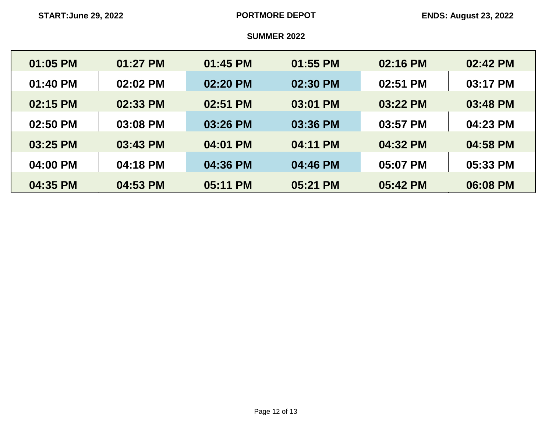| 01:05 PM | 01:27 PM | 01:45 PM | 01:55 PM | 02:16 PM | 02:42 PM |
|----------|----------|----------|----------|----------|----------|
| 01:40 PM | 02:02 PM | 02:20 PM | 02:30 PM | 02:51 PM | 03:17 PM |
| 02:15 PM | 02:33 PM | 02:51 PM | 03:01 PM | 03:22 PM | 03:48 PM |
| 02:50 PM | 03:08 PM | 03:26 PM | 03:36 PM | 03:57 PM | 04:23 PM |
| 03:25 PM | 03:43 PM | 04:01 PM | 04:11 PM | 04:32 PM | 04:58 PM |
| 04:00 PM | 04:18 PM | 04:36 PM | 04:46 PM | 05:07 PM | 05:33 PM |
| 04:35 PM | 04:53 PM | 05:11 PM | 05:21 PM | 05:42 PM | 06:08 PM |